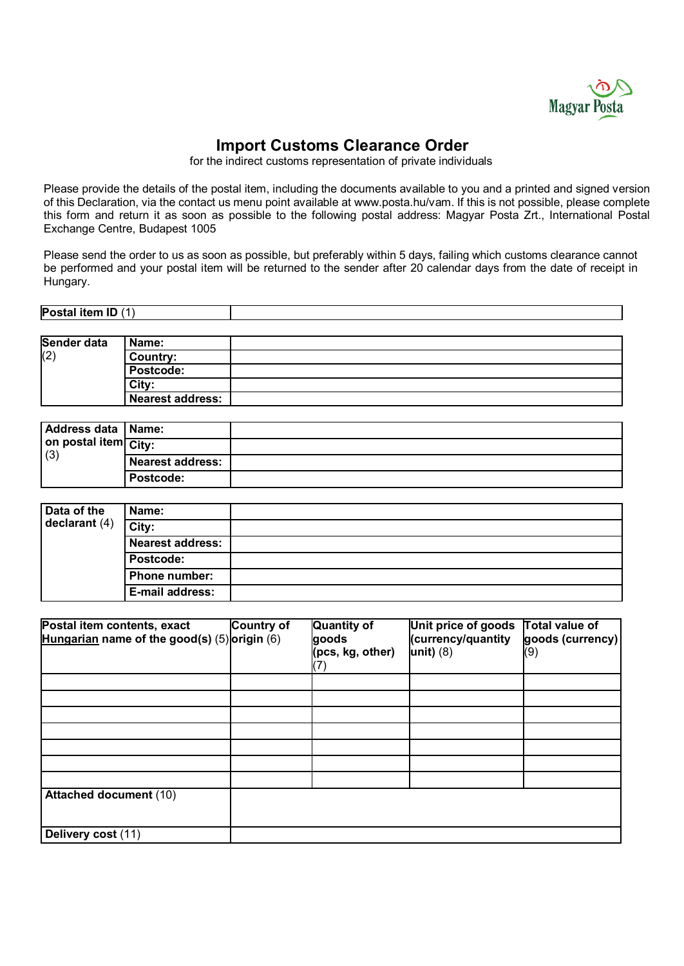

# **Import Customs Clearance Order**

for the indirect customs representation of private individuals

Please provide the details of the postal item, including the documents available to you and a printed and signed version of this Declaration, via the contact us menu point available at www.posta.hu/vam. If this is not possible, please complete this form and return it as soon as possible to the following postal address: Magyar Posta Zrt., International Postal Exchange Centre, Budapest 1005

Please send the order to us as soon as possible, but preferably within 5 days, failing which customs clearance cannot be performed and your postal item will be returned to the sender after 20 calendar days from the date of receipt in Hungary.

| <b>ID</b><br>.<br><b>Postal item</b><br>, ,<br>טו |  |
|---------------------------------------------------|--|
|                                                   |  |

| Sender data | Name:                   |  |
|-------------|-------------------------|--|
| (2)         | <b>Country:</b>         |  |
|             | Postcode:               |  |
|             | City:                   |  |
|             | <b>Nearest address:</b> |  |

| Address data   Name:        |                         |  |
|-----------------------------|-------------------------|--|
| on postal item City:<br>(3) |                         |  |
|                             | <b>Nearest address:</b> |  |
|                             | Postcode:               |  |

| Data of the<br>declarant (4) | Name:                   |  |
|------------------------------|-------------------------|--|
|                              | City:                   |  |
|                              | <b>Nearest address:</b> |  |
|                              | Postcode:               |  |
|                              | <b>Phone number:</b>    |  |
|                              | E-mail address:         |  |

| Postal item contents, exact<br>Hungarian name of the good(s) $(5)$ origin $(6)$ | <b>Country of</b> | <b>Quantity of</b><br>goods<br>(pcs, kg, other)<br>$\overline{ }$ | Unit price of goods<br>(currency/quantity<br>unit) $(8)$ | Total value of<br>goods (currency)<br>(9) |
|---------------------------------------------------------------------------------|-------------------|-------------------------------------------------------------------|----------------------------------------------------------|-------------------------------------------|
|                                                                                 |                   |                                                                   |                                                          |                                           |
|                                                                                 |                   |                                                                   |                                                          |                                           |
|                                                                                 |                   |                                                                   |                                                          |                                           |
|                                                                                 |                   |                                                                   |                                                          |                                           |
|                                                                                 |                   |                                                                   |                                                          |                                           |
|                                                                                 |                   |                                                                   |                                                          |                                           |
| <b>Attached document (10)</b>                                                   |                   |                                                                   |                                                          |                                           |
| Delivery cost (11)                                                              |                   |                                                                   |                                                          |                                           |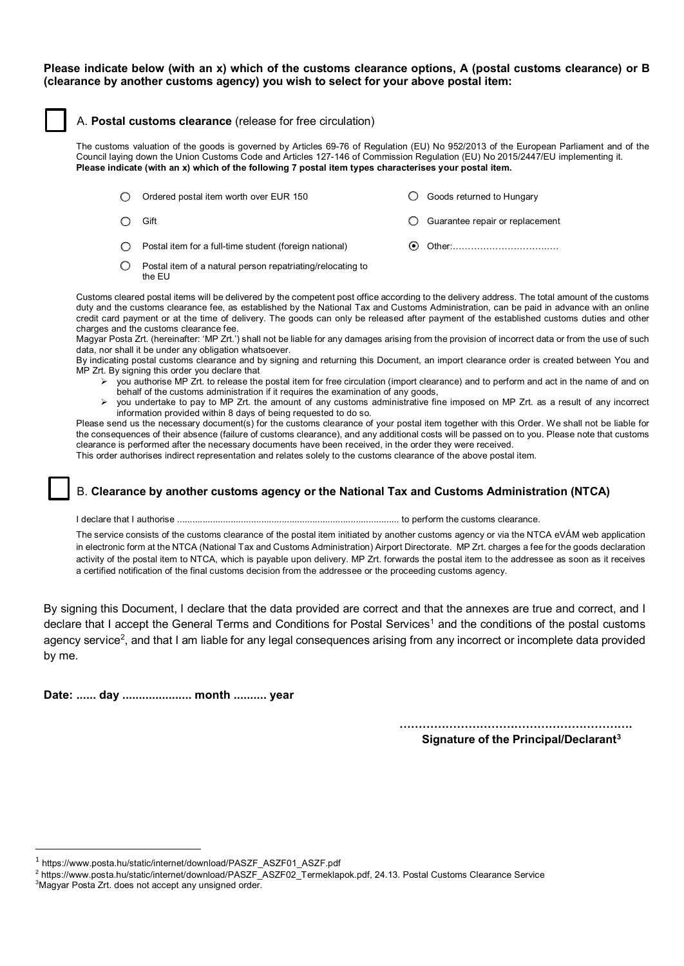### **Please indicate below (with an x) which of the customs clearance options, A (postal customs clearance) or B (clearance by another customs agency) you wish to select for your above postal item:**

#### A. **Postal customs clearance** (release for free circulation)

The customs valuation of the goods is governed by Articles 69-76 of Regulation (EU) No 952/2013 of the European Parliament and of the Council laying down the Union Customs Code and Articles 127-146 of Commission Regulation (EU) No 2015/2447/EU implementing it. **Please indicate (with an x) which of the following 7 postal item types characterises your postal item.**

| ∩                | Ordered postal item worth over EUR 150                               | Goods returned to Hungary       |
|------------------|----------------------------------------------------------------------|---------------------------------|
|                  | Gift                                                                 | Guarantee repair or replacement |
| $\left( \right)$ | Postal item for a full-time student (foreign national)               |                                 |
|                  | Postal item of a natural person repatriating/relocating to<br>the EU |                                 |

Customs cleared postal items will be delivered by the competent post office according to the delivery address. The total amount of the customs duty and the customs clearance fee, as established by the National Tax and Customs Administration, can be paid in advance with an online credit card payment or at the time of delivery. The goods can only be released after payment of the established customs duties and other charges and the customs clearance fee.

Magyar Posta Zrt. (hereinafter: 'MP Zrt.') shall not be liable for any damages arising from the provision of incorrect data or from the use of such data, nor shall it be under any obligation whatsoever.

By indicating postal customs clearance and by signing and returning this Document, an import clearance order is created between You and MP Zrt. By signing this order you declare that

- you authorise MP Zrt. to release the postal item for free circulation (import clearance) and to perform and act in the name of and on behalf of the customs administration if it requires the examination of any goods,
- $\triangleright$  you undertake to pay to MP Zrt. the amount of any customs administrative fine imposed on MP Zrt. as a result of any incorrect information provided within 8 days of being requested to do so.

Please send us the necessary document(s) for the customs clearance of your postal item together with this Order. We shall not be liable for the consequences of their absence (failure of customs clearance), and any additional costs will be passed on to you. Please note that customs clearance is performed after the necessary documents have been received, in the order they were received.

This order authorises indirect representation and relates solely to the customs clearance of the above postal item.

# B. **Clearance by another customs agency or the National Tax and Customs Administration (NTCA)**

I declare that I authorise ....................................................................................... to perform the customs clearance.

The service consists of the customs clearance of the postal item initiated by another customs agency or via the NTCA eVÁM web application in electronic form at the NTCA (National Tax and Customs Administration) Airport Directorate. MP Zrt. charges a fee for the goods declaration activity of the postal item to NTCA, which is payable upon delivery. MP Zrt. forwards the postal item to the addressee as soon as it receives a certified notification of the final customs decision from the addressee or the proceeding customs agency.

By signing this Document, I declare that the data provided are correct and that the annexes are true and correct, and I declare that I accept the General Terms and Conditions for Postal Services<sup>[1](#page-1-0)</sup> and the conditions of the postal customs agency service<sup>2</sup>, and that I am liable for any legal consequences arising from any incorrect or incomplete data provided by me.

**Date: ...... day ..................... month .......... year**

**……………………………………………………. Signature of the Principal/Declarant[3](#page-1-2)**

<span id="page-1-0"></span><sup>&</sup>lt;sup>1</sup> https://www.posta.hu/static/internet/download/PASZF\_ASZF01\_ASZF.pdf

<span id="page-1-1"></span><sup>&</sup>lt;sup>2</sup> [https://www.posta.hu/static/internet/download/PASZF\\_ASZF02\\_Termeklapok.pdf, 2](https://www.posta.hu/static/internet/download/PASZF_ASZF02_Termeklapok.pdf)4.13. Postal Customs Clearance Service

<span id="page-1-2"></span><sup>&</sup>lt;sup>3</sup>Magyar Posta Zrt. does not accept any unsigned order.